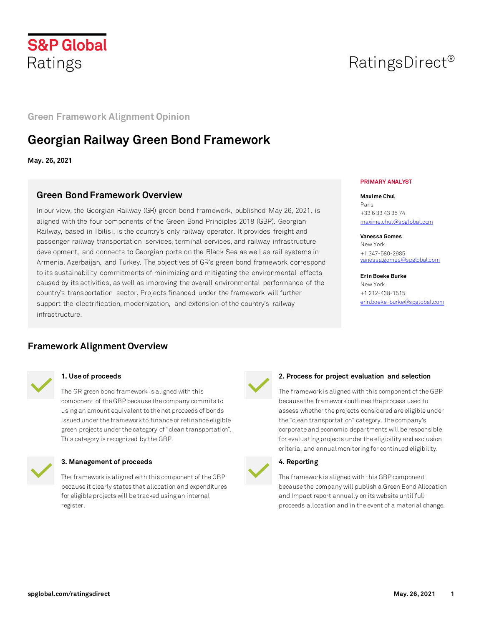

# RatingsDirect®

## **Green Framework Alignment Opinion**

## **Georgian Railway Green Bond Framework**

**May. 26, 2021**

## **Green Bond Framework Overview**

In our view, the Georgian Railway (GR) green bond framework, published May 26, 2021, is aligned with the four components of the Green Bond Principles 2018 (GBP). Georgian Railway, based in Tbilisi, is the country's only railway operator. It provides freight and passenger railway transportation services, terminal services, and railway infrastructure development, and connects to Georgian ports on the Black Sea as well as rail systems in Armenia, Azerbaijan, and Turkey. The objectives of GR's green bond framework correspond to its sustainability commitments of minimizing and mitigating the environmental effects caused by its activities, as well as improving the overall environmental performance of the country's transportation sector. Projects financed under the framework will further support the electrification, modernization, and extension of the country's railway infrastructure.

## **Framework Alignment Overview**



#### **1. Use of proceeds**

The GR green bond framework is aligned with this component of the GBP because the company commits to using an amount equivalent to the net proceeds of bonds issued under the framework to finance or refinance eligible green projects under the category of "clean transportation". This category is recognized by the GBP.



#### **3. Management of proceeds**

The framework is aligned with this component of the GBP because it clearly states that allocation and expenditures for eligible projects will be tracked using an internal register.

#### **PRIMARY ANALYST**

**Maxime Chul** Paris +33 6 33 43 35 74 [maxime.chul@spglobal.com](mailto:maxime.chul@spglobal.com)

**Vanessa Gomes** New York +1 347-580-2985 [vanessa.gomes@spglobal.com](mailto:vanessa.gomes@spglobal.com)

**Erin Boeke Burke** New York +1 212-438-1515 [erin.boeke-burke@spglobal.com](mailto:erin.boeke-burke@spglobal.com)



#### **2. Process for project evaluation and selection**

The framework is aligned with this component of the GBP because the framework outlines the process used to assess whether the projects considered are eligible under the "clean transportation" category. The company's corporate and economic departments will be responsible for evaluating projects under the eligibility and exclusion criteria, and annual monitoring for continued eligibility.

### **4. Reporting**

The framework is aligned with this GBP component because the company will publish a Green Bond Allocation and Impact report annually on its website until fullproceeds allocation and in the event of a material change.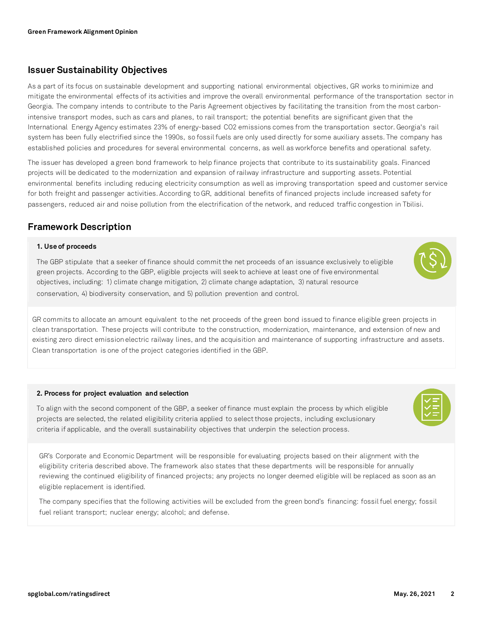## **Issuer Sustainability Objectives**

As a part of its focus on sustainable development and supporting national environmental objectives, GR works to minimize and mitigate the environmental effects of its activities and improve the overall environmental performance of the transportation sector in Georgia. The company intends to contribute to the Paris Agreement objectives by facilitating the transition from the most carbonintensive transport modes, such as cars and planes, to rail transport; the potential benefits are significant given that the International Energy Agency estimates 23% of energy-based CO2 emissions comes from the transportation sector. Georgia's rail system has been fully electrified since the 1990s, so fossil fuels are only used directly for some auxiliary assets. The company has established policies and procedures for several environmental concerns, as well as workforce benefits and operational safety.

The issuer has developed a green bond framework to help finance projects that contribute to its sustainability goals. Financed projects will be dedicated to the modernization and expansion of railway infrastructure and supporting assets. Potential environmental benefits including reducing electricity consumption as well as improving transportation speed and customer service for both freight and passenger activities. According to GR, additional benefits of financed projects include increased safety for passengers, reduced air and noise pollution from the electrification of the network, and reduced traffic congestion in Tbilisi.

## **Framework Description**

#### **1. Use of proceeds**

The GBP stipulate that a seeker of finance should commit the net proceeds of an issuance exclusively to eligible green projects. According to the GBP, eligible projects will seek to achieve at least one of five environmental objectives, including: 1) climate change mitigation, 2) climate change adaptation, 3) natural resource conservation, 4) biodiversity conservation, and 5) pollution prevention and control.

GR commits to allocate an amount equivalent to the net proceeds of the green bond issued to finance eligible green projects in clean transportation. These projects will contribute to the construction, modernization, maintenance, and extension of new and existing zero direct emission electric railway lines, and the acquisition and maintenance of supporting infrastructure and assets. Clean transportation is one of the project categories identified in the GBP.

#### **2. Process for project evaluation and selection**

To align with the second component of the GBP, a seeker of finance must explain the process by which eligible projects are selected, the related eligibility criteria applied to select those projects, including exclusionary criteria if applicable, and the overall sustainability objectives that underpin the selection process.

GR's Corporate and Economic Department will be responsible for evaluating projects based on their alignment with the eligibility criteria described above. The framework also states that these departments will be responsible for annually reviewing the continued eligibility of financed projects; any projects no longer deemed eligible will be replaced as soon as an eligible replacement is identified.

The company specifies that the following activities will be excluded from the green bond's financing: fossil fuel energy; fossil fuel reliant transport; nuclear energy; alcohol; and defense.



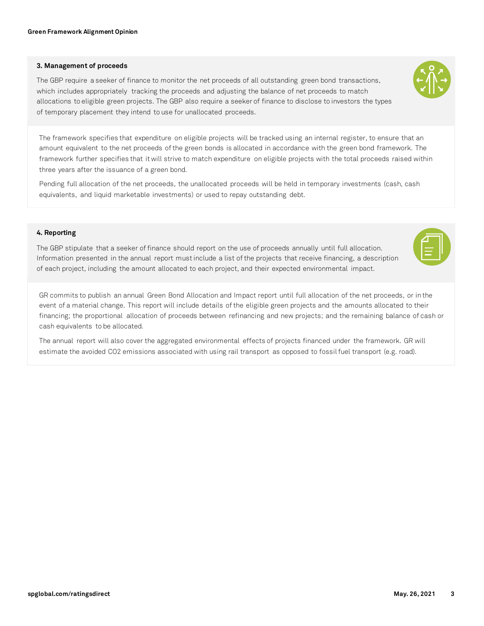#### **3. Management of proceeds**

The GBP require a seeker of finance to monitor the net proceeds of all outstanding green bond transactions, which includes appropriately tracking the proceeds and adjusting the balance of net proceeds to match allocations to eligible green projects. The GBP also require a seeker of finance to disclose to investors the types of temporary placement they intend to use for unallocated proceeds.



The framework specifies that expenditure on eligible projects will be tracked using an internal register, to ensure that an amount equivalent to the net proceeds of the green bonds is allocated in accordance with the green bond framework. The framework further specifies that it will strive to match expenditure on eligible projects with the total proceeds raised within three years after the issuance of a green bond.

Pending full allocation of the net proceeds, the unallocated proceeds will be held in temporary investments (cash, cash equivalents, and liquid marketable investments) or used to repay outstanding debt.

### **4. Reporting**

The GBP stipulate that a seeker of finance should report on the use of proceeds annually until full allocation. Information presented in the annual report must include a list of the projects that receive financing, a description of each project, including the amount allocated to each project, and their expected environmental impact.

GR commits to publish an annual Green Bond Allocation and Impact report until full allocation of the net proceeds, or in the event of a material change. This report will include details of the eligible green projects and the amounts allocated to their financing; the proportional allocation of proceeds between refinancing and new projects; and the remaining balance of cash or cash equivalents to be allocated.

The annual report will also cover the aggregated environmental effects of projects financed under the framework. GR will estimate the avoided CO2 emissions associated with using rail transport as opposed to fossil fuel transport (e.g. road).



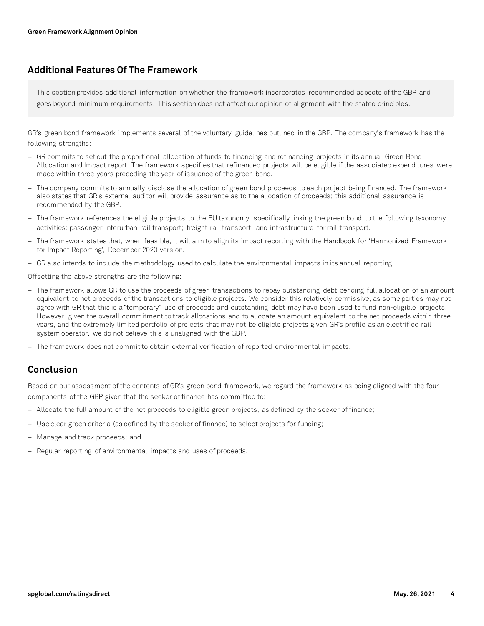## **Additional Features Of The Framework**

This section provides additional information on whether the framework incorporates recommended aspects of the GBP and goes beyond minimum requirements. This section does not affect our opinion of alignment with the stated principles.

GR's green bond framework implements several of the voluntary guidelines outlined in the GBP. The company's framework has the following strengths:

- − GR commits to set out the proportional allocation of funds to financing and refinancing projects in its annual Green Bond Allocation and Impact report. The framework specifies that refinanced projects will be eligible if the associated expenditures were made within three years preceding the year of issuance of the green bond.
- − The company commits to annually disclose the allocation of green bond proceeds to each project being financed. The framework also states that GR's external auditor will provide assurance as to the allocation of proceeds; this additional assurance is recommended by the GBP.
- − The framework references the eligible projects to the EU taxonomy, specifically linking the green bond to the following taxonomy activities: passenger interurban rail transport; freight rail transport; and infrastructure for rail transport.
- − The framework states that, when feasible, it will aim to align its impact reporting with the Handbook for 'Harmonized Framework for Impact Reporting', December 2020 version.
- − GR also intends to include the methodology used to calculate the environmental impacts in its annual reporting.

Offsetting the above strengths are the following:

- − The framework allows GR to use the proceeds of green transactions to repay outstanding debt pending full allocation of an amount equivalent to net proceeds of the transactions to eligible projects. We consider this relatively permissive, as some parties may not agree with GR that this is a "temporary" use of proceeds and outstanding debt may have been used to fund non-eligible projects. However, given the overall commitment to track allocations and to allocate an amount equivalent to the net proceeds within three years, and the extremely limited portfolio of projects that may not be eligible projects given GR's profile as an electrified rail system operator, we do not believe this is unaligned with the GBP.
- − The framework does not commit to obtain external verification of reported environmental impacts.

## **Conclusion**

Based on our assessment of the contents of GR's green bond framework, we regard the framework as being aligned with the four components of the GBP given that the seeker of finance has committed to:

- − Allocate the full amount of the net proceeds to eligible green projects, as defined by the seeker of finance;
- − Use clear green criteria (as defined by the seeker of finance) to select projects for funding;
- − Manage and track proceeds; and
- − Regular reporting of environmental impacts and uses of proceeds.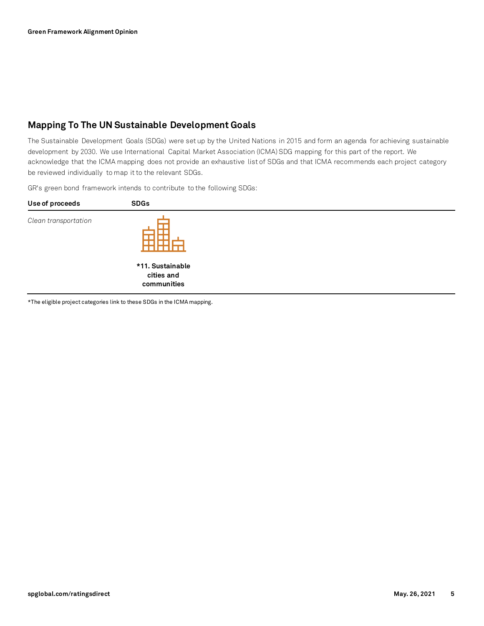## **Mapping To The UN Sustainable Development Goals**

The Sustainable Development Goals (SDGs) were set up by the United Nations in 2015 and form an agenda for achieving sustainable development by 2030. We use International Capital Market Association (ICMA) SDG mapping for this part of the report. We acknowledge that the ICMA mapping does not provide an exhaustive list of SDGs and that ICMA recommends each project category be reviewed individually to map it to the relevant SDGs.

GR's green bond framework intends to contribute to the following SDGs:

| Use of proceeds      | <b>SDGs</b>                                   |  |  |
|----------------------|-----------------------------------------------|--|--|
| Clean transportation |                                               |  |  |
|                      | *11. Sustainable<br>cities and<br>communities |  |  |

\*The eligible project categories link to these SDGs in the ICMA mapping.